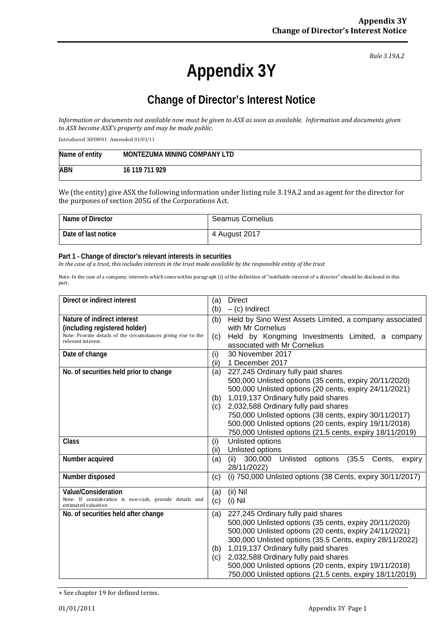*Rule 3.19A.2*

# **Appendix 3Y**

## **Change of Director's Interest Notice**

*Information or documents not available now must be given to ASX as soon as available. Information and documents given to ASX become ASX's property and may be made public.*

Introduced 30/09/01 Amended 01/01/11

| Name of entity | MONTEZUMA MINING COMPANY LTD |
|----------------|------------------------------|
| <b>ABN</b>     | 16 119 711 929               |

We (the entity) give ASX the following information under listing rule 3.19A.2 and as agent for the director for the purposes of section 205G of the Corporations Act.

| Name of Director    | <b>Seamus Cornelius</b> |
|---------------------|-------------------------|
| Date of last notice | 4 August 2017           |

#### **Part 1 - Change of director's relevant interests in securities**

*In the case of a trust, this includes interests in the trust made available by the responsible entity of the trust*

Note: In the case of a company, interests which come within paragraph (i) of the definition of "notifiable interest of a director" should be disclosed in this part.

| Direct or indirect interest                                                    |      | <b>Direct</b>                                                        |
|--------------------------------------------------------------------------------|------|----------------------------------------------------------------------|
|                                                                                |      | $-$ (c) Indirect                                                     |
| Nature of indirect interest                                                    | (b)  | Held by Sino West Assets Limited, a company associated               |
| (including registered holder)                                                  |      | with Mr Cornelius                                                    |
| Note: Provide details of the circumstances giving rise to the                  | (c)  | Held by Kongming Investments Limited, a company                      |
| relevant interest.                                                             |      | associated with Mr Cornelius                                         |
| Date of change                                                                 | (i)  | 30 November 2017                                                     |
|                                                                                | (ii) | 1 December 2017                                                      |
| No. of securities held prior to change                                         | (a)  | 227,245 Ordinary fully paid shares                                   |
|                                                                                |      | 500,000 Unlisted options (35 cents, expiry 20/11/2020)               |
|                                                                                |      | 500,000 Unlisted options (20 cents, expiry 24/11/2021)               |
|                                                                                | (b)  | 1,019,137 Ordinary fully paid shares                                 |
|                                                                                | (c)  | 2,032,588 Ordinary fully paid shares                                 |
|                                                                                |      | 750,000 Unlisted options (38 cents, expiry 30/11/2017)               |
|                                                                                |      | 500,000 Unlisted options (20 cents, expiry 19/11/2018)               |
|                                                                                |      | 750,000 Unlisted options (21.5 cents, expiry 18/11/2019)             |
| Class                                                                          | (i)  | Unlisted options                                                     |
|                                                                                | (ii) | Unlisted options                                                     |
| Number acquired                                                                | (a)  | Unlisted<br>options<br>(35.5)<br>300,000<br>Cents,<br>(ii)<br>expiry |
|                                                                                |      | 28/11/2022)                                                          |
| Number disposed                                                                | (c)  | (i) 750,000 Unlisted options (38 Cents, expiry 30/11/2017)           |
| <b>Value/Consideration</b>                                                     | (a)  | $(ii)$ Nil                                                           |
| Note: If consideration is non-cash, provide details and<br>estimated valuation | (c)  | $(i)$ Nil                                                            |
| No. of securities held after change                                            | (a)  | 227,245 Ordinary fully paid shares                                   |
|                                                                                |      | 500,000 Unlisted options (35 cents, expiry 20/11/2020)               |
|                                                                                |      | 500,000 Unlisted options (20 cents, expiry 24/11/2021)               |
|                                                                                |      | 300,000 Unlisted options (35.5 Cents, expiry 28/11/2022)             |
|                                                                                | (b)  | 1,019,137 Ordinary fully paid shares                                 |
|                                                                                |      | 2,032,588 Ordinary fully paid shares                                 |
|                                                                                |      | 500,000 Unlisted options (20 cents, expiry 19/11/2018)               |
|                                                                                |      | 750,000 Unlisted options (21.5 cents, expiry 18/11/2019)             |

<sup>+</sup> See chapter 19 for defined terms.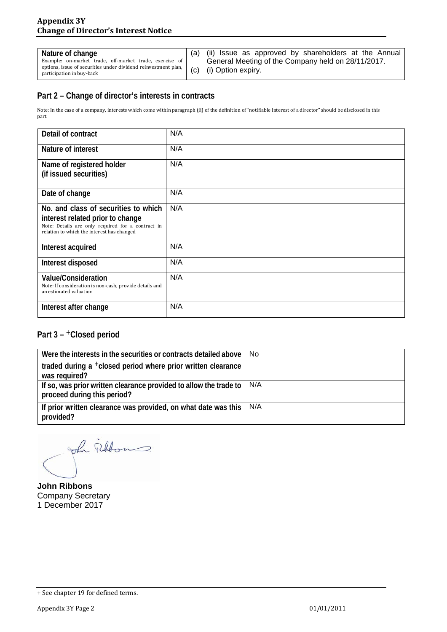| Nature of change                                                                                                                                                      | (ii) Issue as approved by shareholders at the Annual                     |
|-----------------------------------------------------------------------------------------------------------------------------------------------------------------------|--------------------------------------------------------------------------|
| Example: on-market trade, off-market trade, exercise of<br>options, issue of securities under dividend reinvestment plan, $\binom{c}{c}$<br>participation in buy-back | General Meeting of the Company held on 28/11/2017.<br>(i) Option expiry. |

#### **Part 2 – Change of director's interests in contracts**

Note: In the case of a company, interests which come within paragraph (ii) of the definition of "notifiable interest of a director" should be disclosed in this part.

| Detail of contract                                                                                                                                                          | N/A |
|-----------------------------------------------------------------------------------------------------------------------------------------------------------------------------|-----|
| Nature of interest                                                                                                                                                          | N/A |
| Name of registered holder<br>(if issued securities)                                                                                                                         | N/A |
| Date of change                                                                                                                                                              | N/A |
| No. and class of securities to which<br>interest related prior to change<br>Note: Details are only required for a contract in<br>relation to which the interest has changed | N/A |
| Interest acquired                                                                                                                                                           | N/A |
| Interest disposed                                                                                                                                                           | N/A |
| <b>Value/Consideration</b><br>Note: If consideration is non-cash, provide details and<br>an estimated valuation                                                             | N/A |
| Interest after change                                                                                                                                                       | N/A |

### **Part 3 –** +**Closed period**

| Were the interests in the securities or contracts detailed above                                 | No. |
|--------------------------------------------------------------------------------------------------|-----|
| traded during a <sup>+</sup> closed period where prior written clearance<br>was required?        |     |
| If so, was prior written clearance provided to allow the trade to<br>proceed during this period? | N/A |
| If prior written clearance was provided, on what date was this<br>provided?                      | N/A |

John Fillon

**John Ribbons** Company Secretary 1 December 2017

<sup>+</sup> See chapter 19 for defined terms.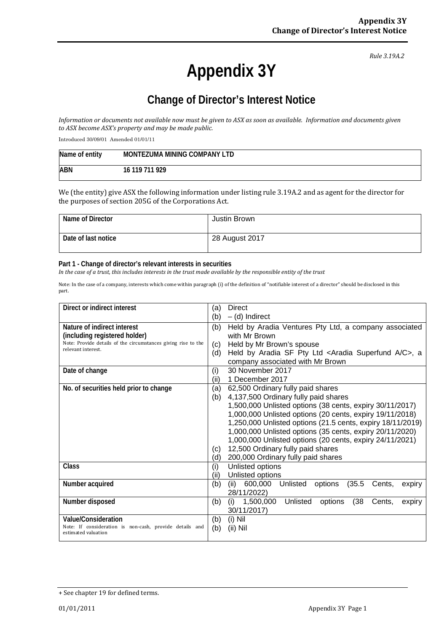*Rule 3.19A.2*

# **Appendix 3Y**

## **Change of Director's Interest Notice**

*Information or documents not available now must be given to ASX as soon as available. Information and documents given to ASX become ASX's property and may be made public.*

Introduced 30/09/01 Amended 01/01/11

| Name of entity | MONTEZUMA MINING COMPANY LTD |
|----------------|------------------------------|
| <b>ABN</b>     | 16 119 711 929               |

We (the entity) give ASX the following information under listing rule 3.19A.2 and as agent for the director for the purposes of section 205G of the Corporations Act.

| Name of Director    | Justin Brown   |
|---------------------|----------------|
| Date of last notice | 28 August 2017 |

#### **Part 1 - Change of director's relevant interests in securities**

*In the case of a trust, this includes interests in the trust made available by the responsible entity of the trust*

Note: In the case of a company, interests which come within paragraph (i) of the definition of "notifiable interest of a director" should be disclosed in this part.

| Direct or indirect interest                                                         |      | Direct                                                                |  |
|-------------------------------------------------------------------------------------|------|-----------------------------------------------------------------------|--|
|                                                                                     |      | $-$ (d) Indirect                                                      |  |
| Nature of indirect interest                                                         |      | Held by Aradia Ventures Pty Ltd, a company associated                 |  |
| (including registered holder)                                                       |      | with Mr Brown                                                         |  |
| Note: Provide details of the circumstances giving rise to the<br>relevant interest. | (c)  | Held by Mr Brown's spouse                                             |  |
|                                                                                     | (d)  | Held by Aradia SF Pty Ltd <aradia a="" c="" superfund="">, a</aradia> |  |
|                                                                                     |      | company associated with Mr Brown                                      |  |
| Date of change                                                                      | (i)  | 30 November 2017                                                      |  |
|                                                                                     | (ii) | 1 December 2017                                                       |  |
| No. of securities held prior to change                                              | (a)  | 62,500 Ordinary fully paid shares                                     |  |
|                                                                                     | (b)  | 4,137,500 Ordinary fully paid shares                                  |  |
|                                                                                     |      | 1,500,000 Unlisted options (38 cents, expiry 30/11/2017)              |  |
|                                                                                     |      | 1,000,000 Unlisted options (20 cents, expiry 19/11/2018)              |  |
|                                                                                     |      | 1,250,000 Unlisted options (21.5 cents, expiry 18/11/2019)            |  |
|                                                                                     |      | 1,000,000 Unlisted options (35 cents, expiry 20/11/2020)              |  |
|                                                                                     |      | 1,000,000 Unlisted options (20 cents, expiry 24/11/2021)              |  |
|                                                                                     |      | 12,500 Ordinary fully paid shares                                     |  |
|                                                                                     |      | 200,000 Ordinary fully paid shares<br>(d)                             |  |
| Class                                                                               | (i)  | Unlisted options                                                      |  |
|                                                                                     | (ii) | Unlisted options                                                      |  |
| Number acquired                                                                     | (b)  | Unlisted<br>(35.5)<br>600,000<br>options<br>Cents,<br>(ii)<br>expiry  |  |
|                                                                                     |      | 28/11/2022)                                                           |  |
| Number disposed                                                                     | (b)  | 1,500,000<br>(38<br>Unlisted<br>(i)<br>options<br>Cents,<br>expiry    |  |
|                                                                                     |      | 30/11/2017)                                                           |  |
| Value/Consideration                                                                 | (b)  | $(i)$ Nil                                                             |  |
| Note: If consideration is non-cash, provide details and<br>estimated valuation      | (b)  | (ii) Nil                                                              |  |

<sup>+</sup> See chapter 19 for defined terms.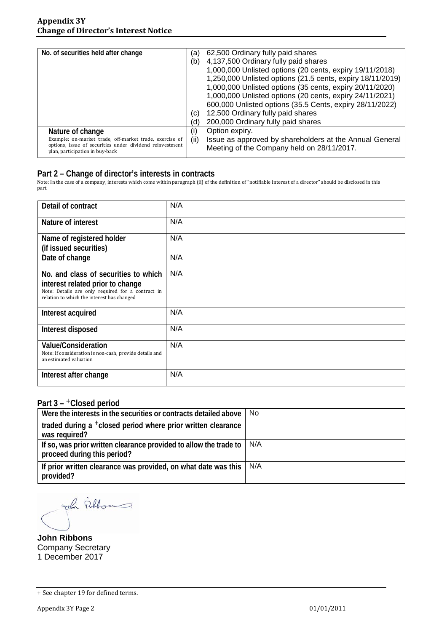| No. of securities held after change                                                                                 |      | 62,500 Ordinary fully paid shares                                                                     |
|---------------------------------------------------------------------------------------------------------------------|------|-------------------------------------------------------------------------------------------------------|
|                                                                                                                     |      | 4,137,500 Ordinary fully paid shares                                                                  |
|                                                                                                                     |      | 1,000,000 Unlisted options (20 cents, expiry 19/11/2018)                                              |
|                                                                                                                     |      | 1,250,000 Unlisted options (21.5 cents, expiry 18/11/2019)                                            |
|                                                                                                                     |      | 1,000,000 Unlisted options (35 cents, expiry 20/11/2020)                                              |
|                                                                                                                     |      | 1,000,000 Unlisted options (20 cents, expiry 24/11/2021)                                              |
|                                                                                                                     |      | 600,000 Unlisted options (35.5 Cents, expiry 28/11/2022)                                              |
|                                                                                                                     | (c)  | 12,500 Ordinary fully paid shares                                                                     |
|                                                                                                                     | (d)  | 200,000 Ordinary fully paid shares                                                                    |
| Nature of change                                                                                                    | (i)  | Option expiry.                                                                                        |
| Example: on-market trade, off-market trade, exercise of<br>options, issue of securities under dividend reinvestment | (ii) | Issue as approved by shareholders at the Annual General<br>Meeting of the Company held on 28/11/2017. |
| plan, participation in buy-back                                                                                     |      |                                                                                                       |

#### **Part 2 – Change of director's interests in contracts**

Note: In the case of a company, interests which come within paragraph (ii) of the definition of "notifiable interest of a director" should be disclosed in this part.

| Detail of contract                                                                                                                                                          | N/A |
|-----------------------------------------------------------------------------------------------------------------------------------------------------------------------------|-----|
| Nature of interest                                                                                                                                                          | N/A |
| Name of registered holder<br>(if issued securities)                                                                                                                         | N/A |
| Date of change                                                                                                                                                              | N/A |
| No. and class of securities to which<br>interest related prior to change<br>Note: Details are only required for a contract in<br>relation to which the interest has changed | N/A |
| Interest acquired                                                                                                                                                           | N/A |
| Interest disposed                                                                                                                                                           | N/A |
| <b>Value/Consideration</b><br>Note: If consideration is non-cash, provide details and<br>an estimated valuation                                                             | N/A |
| Interest after change                                                                                                                                                       | N/A |

#### **Part 3 –** +**Closed period**

| Were the interests in the securities or contracts detailed above                                 | No. |
|--------------------------------------------------------------------------------------------------|-----|
| traded during a <sup>+</sup> closed period where prior written clearance<br>was required?        |     |
| If so, was prior written clearance provided to allow the trade to<br>proceed during this period? | N/A |
| If prior written clearance was provided, on what date was this<br>provided?                      | N/A |

John Fillons.

**John Ribbons** Company Secretary 1 December 2017

<sup>+</sup> See chapter 19 for defined terms.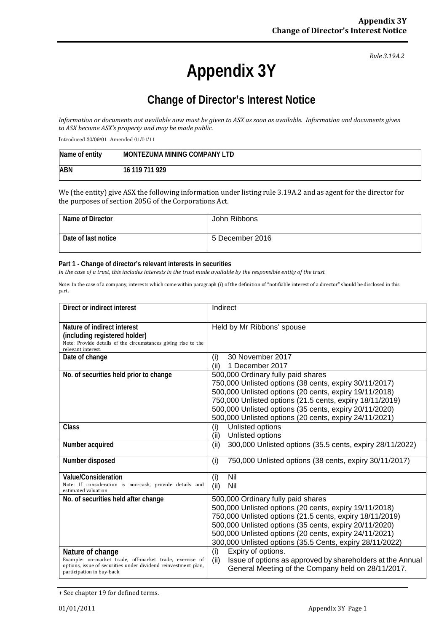*Rule 3.19A.2*

# **Appendix 3Y**

## **Change of Director's Interest Notice**

*Information or documents not available now must be given to ASX as soon as available. Information and documents given to ASX become ASX's property and may be made public.*

Introduced 30/09/01 Amended 01/01/11

| Name of entity | MONTEZUMA MINING COMPANY LTD |
|----------------|------------------------------|
| <b>ABN</b>     | 16 119 711 929               |

We (the entity) give ASX the following information under listing rule 3.19A.2 and as agent for the director for the purposes of section 205G of the Corporations Act.

| Name of Director    | John Ribbons    |
|---------------------|-----------------|
| Date of last notice | 5 December 2016 |

#### **Part 1 - Change of director's relevant interests in securities**

*In the case of a trust, this includes interests in the trust made available by the responsible entity of the trust*

Note: In the case of a company, interests which come within paragraph (i) of the definition of "notifiable interest of a director" should be disclosed in this part.

| Direct or indirect interest                                                                                                                                                | Indirect                                                                                                                                                                                                                                                                                                                                 |  |
|----------------------------------------------------------------------------------------------------------------------------------------------------------------------------|------------------------------------------------------------------------------------------------------------------------------------------------------------------------------------------------------------------------------------------------------------------------------------------------------------------------------------------|--|
| Nature of indirect interest<br>(including registered holder)<br>Note: Provide details of the circumstances giving rise to the<br>relevant interest.                        | Held by Mr Ribbons' spouse                                                                                                                                                                                                                                                                                                               |  |
| Date of change                                                                                                                                                             | 30 November 2017<br>(i)<br>1 December 2017<br>(ii)                                                                                                                                                                                                                                                                                       |  |
| No. of securities held prior to change                                                                                                                                     | 500,000 Ordinary fully paid shares<br>750,000 Unlisted options (38 cents, expiry 30/11/2017)<br>500,000 Unlisted options (20 cents, expiry 19/11/2018)<br>750,000 Unlisted options (21.5 cents, expiry 18/11/2019)<br>500,000 Unlisted options (35 cents, expiry 20/11/2020)<br>500,000 Unlisted options (20 cents, expiry 24/11/2021)   |  |
| Class                                                                                                                                                                      | Unlisted options<br>(i)<br>Unlisted options<br>(ii)                                                                                                                                                                                                                                                                                      |  |
| Number acquired                                                                                                                                                            | 300,000 Unlisted options (35.5 cents, expiry 28/11/2022)<br>(ii)                                                                                                                                                                                                                                                                         |  |
| Number disposed                                                                                                                                                            | 750,000 Unlisted options (38 cents, expiry 30/11/2017)<br>(i)                                                                                                                                                                                                                                                                            |  |
| Value/Consideration<br>Note: If consideration is non-cash, provide details and<br>estimated valuation                                                                      | (i)<br>Nil<br>Nil<br>(ii)                                                                                                                                                                                                                                                                                                                |  |
| No. of securities held after change                                                                                                                                        | 500,000 Ordinary fully paid shares<br>500,000 Unlisted options (20 cents, expiry 19/11/2018)<br>750,000 Unlisted options (21.5 cents, expiry 18/11/2019)<br>500,000 Unlisted options (35 cents, expiry 20/11/2020)<br>500,000 Unlisted options (20 cents, expiry 24/11/2021)<br>300,000 Unlisted options (35.5 Cents, expiry 28/11/2022) |  |
| Nature of change<br>Example: on-market trade, off-market trade, exercise of<br>options, issue of securities under dividend reinvestment plan,<br>participation in buy-back | (i)<br>Expiry of options.<br>Issue of options as approved by shareholders at the Annual<br>(ii)<br>General Meeting of the Company held on 28/11/2017.                                                                                                                                                                                    |  |

<sup>+</sup> See chapter 19 for defined terms.